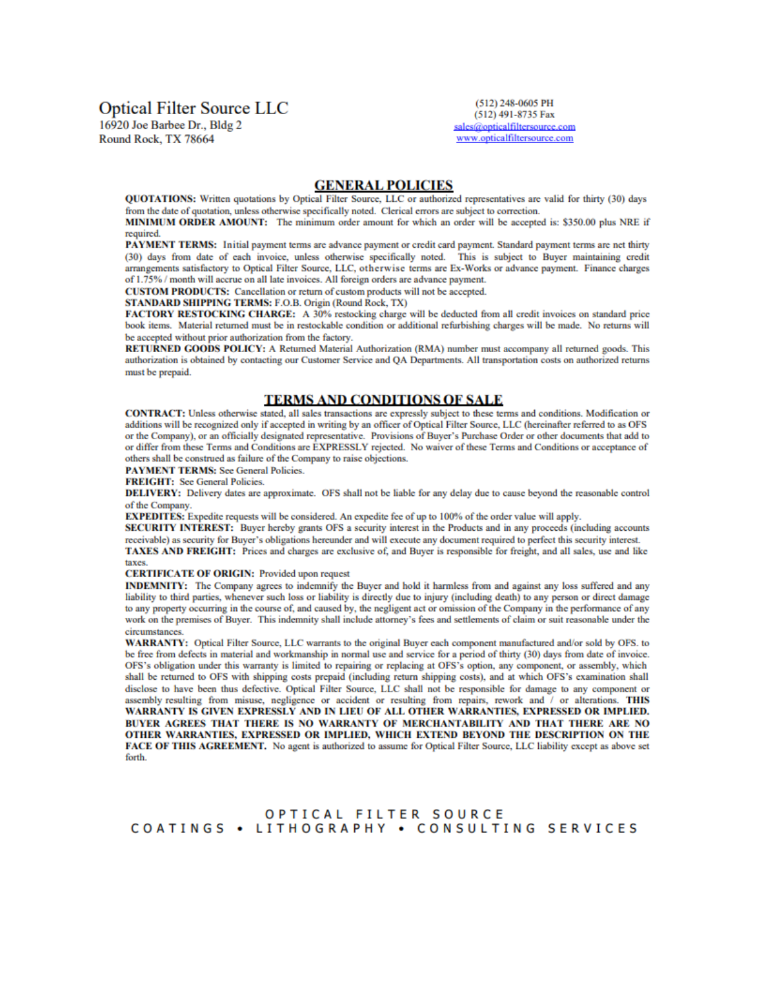# **Optical Filter Source LLC**

16920 Joe Barbee Dr., Bldg 2 Round Rock, TX 78664

(512) 248-0605 PH (512) 491-8735 Fax sales@opticalfiltersource.com www.opticalfiltersource.com

#### **GENERAL POLICIES**

QUOTATIONS: Written quotations by Optical Filter Source, LLC or authorized representatives are valid for thirty (30) days from the date of quotation, unless otherwise specifically noted. Clerical errors are subject to correction.

MINIMUM ORDER AMOUNT: The minimum order amount for which an order will be accepted is: \$350.00 plus NRE if required.

PAYMENT TERMS: Initial payment terms are advance payment or credit card payment. Standard payment terms are net thirty (30) days from date of each invoice, unless otherwise specifically noted. This is subject to Buyer maintaining credit arrangements satisfactory to Optical Filter Source, LLC, otherwise terms are Ex-Works or advance payment. Finance charges of 1.75% / month will accrue on all late invoices. All foreign orders are advance payment.

CUSTOM PRODUCTS: Cancellation or return of custom products will not be accepted.

STANDARD SHIPPING TERMS: F.O.B. Origin (Round Rock, TX)

FACTORY RESTOCKING CHARGE: A 30% restocking charge will be deducted from all credit invoices on standard price book items. Material returned must be in restockable condition or additional refurbishing charges will be made. No returns will be accepted without prior authorization from the factory.

RETURNED GOODS POLICY: A Returned Material Authorization (RMA) number must accompany all returned goods. This authorization is obtained by contacting our Customer Service and QA Departments. All transportation costs on authorized returns must be prepaid.

#### **TERMS AND CONDITIONS OF SALE**

CONTRACT: Unless otherwise stated, all sales transactions are expressly subject to these terms and conditions. Modification or additions will be recognized only if accepted in writing by an officer of Optical Filter Source, LLC (hereinafter referred to as OFS or the Company), or an officially designated representative. Provisions of Buyer's Purchase Order or other documents that add to or differ from these Terms and Conditions are EXPRESSLY rejected. No waiver of these Terms and Conditions or acceptance of others shall be construed as failure of the Company to raise objections.

**PAYMENT TERMS: See General Policies.** 

**FREIGHT:** See General Policies.

DELIVERY: Delivery dates are approximate. OFS shall not be liable for any delay due to cause beyond the reasonable control of the Company.

EXPEDITES: Expedite requests will be considered. An expedite fee of up to 100% of the order value will apply.

SECURITY INTEREST: Buyer hereby grants OFS a security interest in the Products and in any proceeds (including accounts receivable) as security for Buyer's obligations hereunder and will execute any document required to perfect this security interest. TAXES AND FREIGHT: Prices and charges are exclusive of, and Buyer is responsible for freight, and all sales, use and like taxes.

#### **CERTIFICATE OF ORIGIN: Provided upon request**

INDEMNITY: The Company agrees to indemnify the Buyer and hold it harmless from and against any loss suffered and any liability to third parties, whenever such loss or liability is directly due to injury (including death) to any person or direct damage to any property occurring in the course of, and caused by, the negligent act or omission of the Company in the performance of any work on the premises of Buyer. This indemnity shall include attorney's fees and settlements of claim or suit reasonable under the circumstances.

WARRANTY: Optical Filter Source, LLC warrants to the original Buyer each component manufactured and/or sold by OFS. to be free from defects in material and workmanship in normal use and service for a period of thirty (30) days from date of invoice. OFS's obligation under this warranty is limited to repairing or replacing at OFS's option, any component, or assembly, which shall be returned to OFS with shipping costs prepaid (including return shipping costs), and at which OFS's examination shall disclose to have been thus defective. Optical Filter Source, LLC shall not be responsible for damage to any component or assembly resulting from misuse, negligence or accident or resulting from repairs, rework and / or alterations. THIS WARRANTY IS GIVEN EXPRESSLY AND IN LIEU OF ALL OTHER WARRANTIES, EXPRESSED OR IMPLIED. BUYER AGREES THAT THERE IS NO WARRANTY OF MERCHANTABILITY AND THAT THERE ARE NO OTHER WARRANTIES, EXPRESSED OR IMPLIED, WHICH EXTEND BEYOND THE DESCRIPTION ON THE FACE OF THIS AGREEMENT. No agent is authorized to assume for Optical Filter Source, LLC liability except as above set forth.

#### OPTICAL FILTER SOURCE COATINGS • LITHOGRAPHY • CONSULTING SERVICES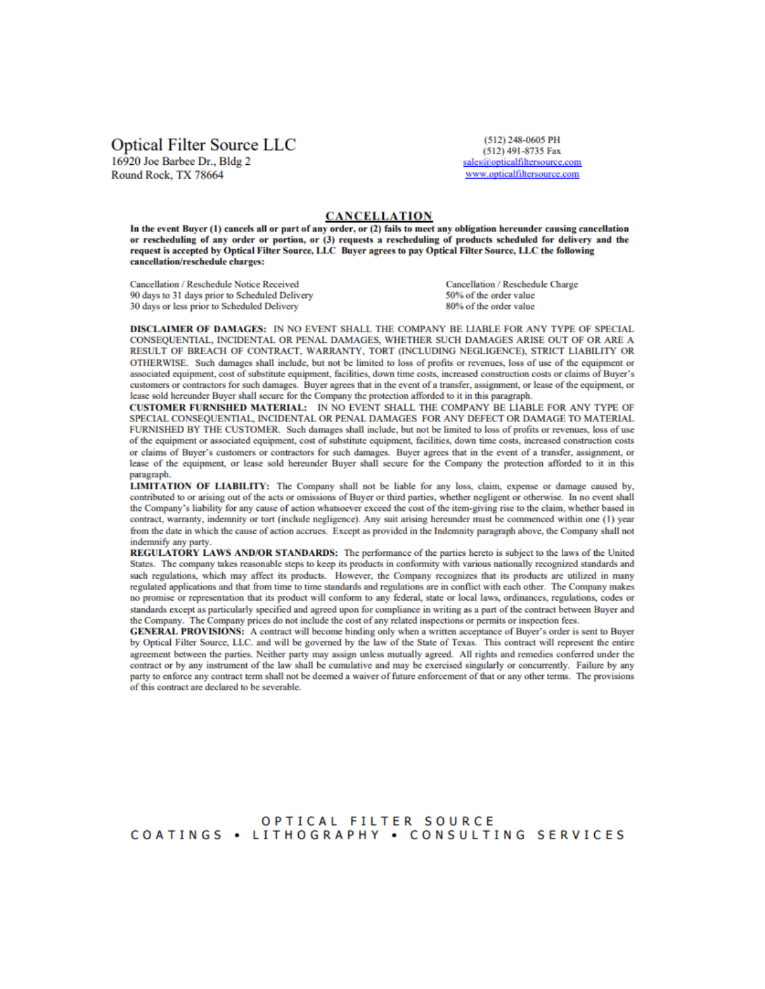## **Optical Filter Source LLC**

16920 Joe Barbee Dr., Bldg 2 Round Rock, TX 78664

(512) 248-0605 PH  $(512)$  491-8735 Fax sales@opticalfiltersource.com www.opticalfiltersource.com

#### **CANCELLATION**

In the event Buver (1) cancels all or part of any order, or (2) fails to meet any obligation hereunder causing cancellation or rescheduling of any order or portion, or (3) requests a rescheduling of products scheduled for delivery and the request is accepted by Optical Filter Source, LLC Buyer agrees to pay Optical Filter Source, LLC the following cancellation/reschedule charges:

Cancellation / Reschedule Notice Received 90 days to 31 days prior to Scheduled Delivery 30 days or less prior to Scheduled Delivery

Cancellation / Reschedule Charge 50% of the order value 80% of the order value

DISCLAIMER OF DAMAGES: IN NO EVENT SHALL THE COMPANY BE LIABLE FOR ANY TYPE OF SPECIAL CONSEQUENTIAL, INCIDENTAL OR PENAL DAMAGES, WHETHER SUCH DAMAGES ARISE OUT OF OR ARE A RESULT OF BREACH OF CONTRACT, WARRANTY, TORT (INCLUDING NEGLIGENCE), STRICT LIABILITY OR OTHERWISE. Such damages shall include, but not be limited to loss of profits or revenues, loss of use of the equipment or associated equipment, cost of substitute equipment, facilities, down time costs, increased construction costs or claims of Buyer's customers or contractors for such damages. Buyer agrees that in the event of a transfer, assignment, or lease of the equipment, or lease sold hereunder Buyer shall secure for the Company the protection afforded to it in this paragraph.

CUSTOMER FURNISHED MATERIAL: IN NO EVENT SHALL THE COMPANY BE LIABLE FOR ANY TYPE OF SPECIAL CONSEQUENTIAL, INCIDENTAL OR PENAL DAMAGES FOR ANY DEFECT OR DAMAGE TO MATERIAL FURNISHED BY THE CUSTOMER. Such damages shall include, but not be limited to loss of profits or revenues, loss of use of the equipment or associated equipment, cost of substitute equipment, facilities, down time costs, increased construction costs or claims of Buyer's customers or contractors for such damages. Buyer agrees that in the event of a transfer, assignment, or lease of the equipment, or lease sold hereunder Buyer shall secure for the Company the protection afforded to it in this paragraph.

LIMITATION OF LIABILITY: The Company shall not be liable for any loss, claim, expense or damage caused by, contributed to or arising out of the acts or omissions of Buyer or third parties, whether negligent or otherwise. In no event shall the Company's liability for any cause of action whatsoever exceed the cost of the item-giving rise to the claim, whether based in contract, warranty, indemnity or tort (include negligence). Any suit arising hereunder must be commenced within one (1) year from the date in which the cause of action accrues. Except as provided in the Indemnity paragraph above, the Company shall not indemnify any party.

REGULATORY LAWS AND/OR STANDARDS: The performance of the parties hereto is subject to the laws of the United States. The company takes reasonable steps to keep its products in conformity with various nationally recognized standards and such regulations, which may affect its products. However, the Company recognizes that its products are utilized in many regulated applications and that from time to time standards and regulations are in conflict with each other. The Company makes no promise or representation that its product will conform to any federal, state or local laws, ordinances, regulations, codes or standards except as particularly specified and agreed upon for compliance in writing as a part of the contract between Buyer and the Company. The Company prices do not include the cost of any related inspections or permits or inspection fees.

GENERAL PROVISIONS: A contract will become binding only when a written acceptance of Buyer's order is sent to Buyer by Optical Filter Source, LLC. and will be governed by the law of the State of Texas. This contract will represent the entire agreement between the parties. Neither party may assign unless mutually agreed. All rights and remedies conferred under the contract or by any instrument of the law shall be cumulative and may be exercised singularly or concurrently. Failure by any party to enforce any contract term shall not be deemed a waiver of future enforcement of that or any other terms. The provisions of this contract are declared to be severable.

OPTICAL FILTER SOURCE COATINGS . LITHOGRAPHY . CONSULTING SERVICES